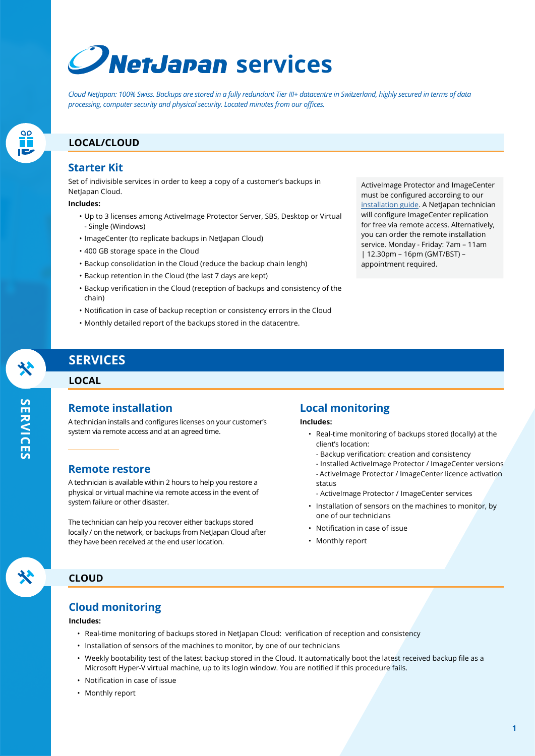# **C***NetJapan* services

*Cloud NetJapan: 100% Swiss. Backups are stored in a fully redundant Tier III+ datacentre in Switzerland, highly secured in terms of data processing, computer security and physical security. Located minutes from our offices.*

## **LOCAL/CLOUD**

## **Starter Kit**

Set of indivisible services in order to keep a copy of a customer's backups in NetJapan Cloud.

#### **Includes:**

- Up to 3 licenses among ActiveImage Protector Server, SBS, Desktop or Virtual - Single (Windows)
- ImageCenter (to replicate backups in NetJapan Cloud)
- 400 GB storage space in the Cloud
- Backup consolidation in the Cloud (reduce the backup chain lengh)
- Backup retention in the Cloud (the last 7 days are kept)
- Backup verification in the Cloud (reception of backups and consistency of the chain)
- Notification in case of backup reception or consistency errors in the Cloud
- Monthly detailed report of the backups stored in the datacentre.

# **SERVICES**

#### **LOCAL**

## **Remote installation**

A technician installs and configures licenses on your customer's system via remote access and at an agreed time.

#### **Remote restore**

A technician is available within 2 hours to help you restore a physical or virtual machine via remote access in the event of system failure or other disaster.

The technician can help you recover either backups stored locally / on the network, or backups from NetJapan Cloud after they have been received at the end user location.

## **Local monitoring**

**Includes:**

- Real-time monitoring of backups stored (locally) at the client's location:
	- Backup verification: creation and consistency
	- Installed ActiveImage Protector / ImageCenter versions

ActiveImage Protector and ImageCenter must be configured according to our [installation guide.](mailto:https://www.netjapan.eu/fileadmin/netjapan/Resources/Best_practices/NetJapan-service-installation-guide-EN.pdf?subject=) A NetJapan technician will configure ImageCenter replication for free via remote access. Alternatively, you can order the remote installation service. Monday - Friday: 7am – 11am | 12.30pm – 16pm (GMT/BST) – appointment required.

- ActiveImage Protector / ImageCenter licence activation status
- ActiveImage Protector / ImageCenter services
- Installation of sensors on the machines to monitor, by one of our technicians
- Notification in case of issue
- Monthly report

#### **CLOUD**

### **Cloud monitoring**

#### **Includes:**

- Real-time monitoring of backups stored in NetJapan Cloud: verification of reception and consistency
- Installation of sensors of the machines to monitor, by one of our technicians
- Weekly bootability test of the latest backup stored in the Cloud. It automatically boot the latest received backup file as a Microsoft Hyper-V virtual machine, up to its login window. You are notified if this procedure fails.
- Notification in case of issue
- Monthly report

**SERVICES SERVICES**

 $\frac{90}{11}$